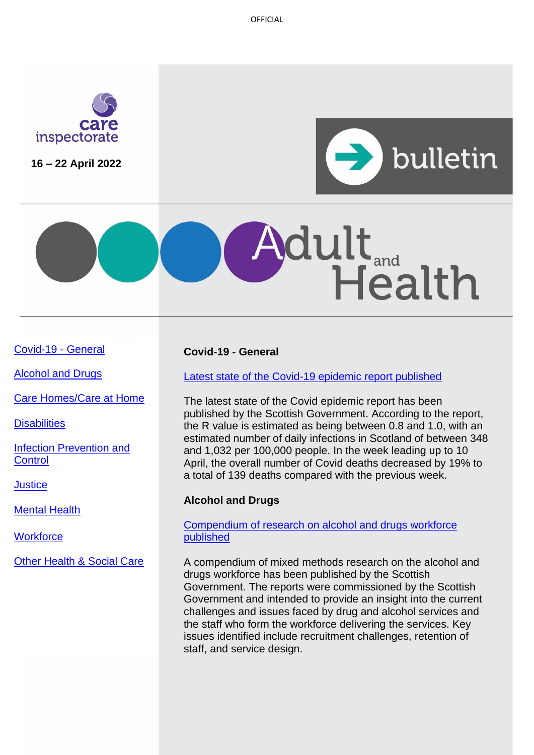OFFICIAL



**16 – 22 April 2022**





[Covid-19 -](#page-0-0) General

[Alcohol and Drugs](#page-0-0)

[Care Homes/Care at Home](#page-1-0)

**[Disabilities](#page-1-1)** 

[Infection Prevention and](#page-1-2) **[Control](#page-1-2)** 

**[Justice](#page-1-3)** 

[Mental Health](#page-2-0)

**[Workforce](#page-2-1)** 

[Other Health & Social Care](#page-3-0)

## <span id="page-0-0"></span>**Covid-19 - General**

[Latest state of the Covid-19 epidemic report published](https://www.gov.scot/publications/coronavirus-covid-19-state-epidemic-14-april-2022/)

The latest state of the Covid epidemic report has been published by the Scottish Government. According to the report, the R value is estimated as being between 0.8 and 1.0, with an estimated number of daily infections in Scotland of between 348 and 1,032 per 100,000 people. In the week leading up to 10 April, the overall number of Covid deaths decreased by 19% to a total of 139 deaths compared with the previous week.

## **Alcohol and Drugs**

### [Compendium of research on alcohol and drugs workforce](https://www.gov.scot/publications/scotlands-alcohol-drugs-workforce-compendium-mixed-methods-research/)  [published](https://www.gov.scot/publications/scotlands-alcohol-drugs-workforce-compendium-mixed-methods-research/)

A compendium of mixed methods research on the alcohol and drugs workforce has been published by the Scottish Government. The reports were commissioned by the Scottish Government and intended to provide an insight into the current challenges and issues faced by drug and alcohol services and the staff who form the workforce delivering the services. Key issues identified include recruitment challenges, retention of staff, and service design.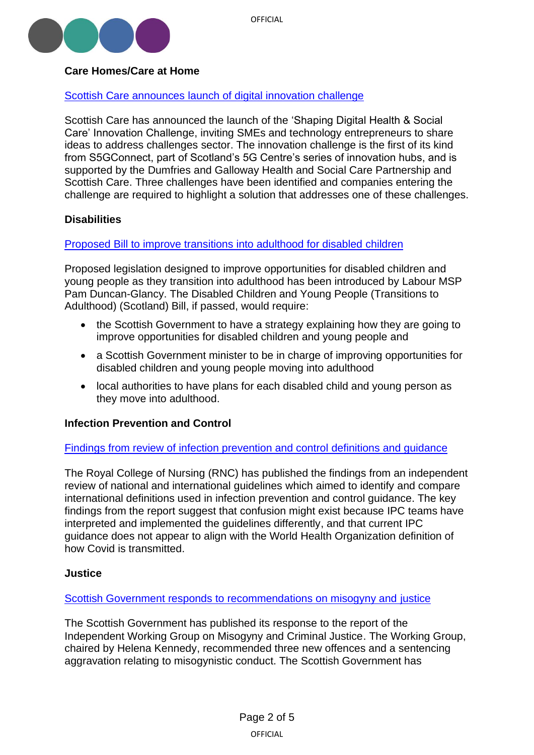

# <span id="page-1-0"></span>**Care Homes/Care at Home**

## [Scottish Care announces launch of digital innovation challenge](https://scottishcare.org/shaping-digital-health-social-care-innovation-challenge/)

Scottish Care has announced the launch of the 'Shaping Digital Health & Social Care' Innovation Challenge, inviting SMEs and technology entrepreneurs to share ideas to address challenges sector. The innovation challenge is the first of its kind from S5GConnect, part of Scotland's 5G Centre's series of innovation hubs, and is supported by the Dumfries and Galloway Health and Social Care Partnership and Scottish Care. Three challenges have been identified and companies entering the challenge are required to highlight a solution that addresses one of these challenges.

## <span id="page-1-1"></span>**Disabilities**

## [Proposed Bill to improve transitions into adulthood for disabled children](https://www.parliament.scot/bills-and-laws/bills/disabled-children-and-young-people-transitions-to-adulthood-scotland-bill-session-6/introduced)

Proposed legislation designed to improve opportunities for disabled children and young people as they transition into adulthood has been introduced by Labour MSP Pam Duncan-Glancy. The Disabled Children and Young People (Transitions to Adulthood) (Scotland) Bill, if passed, would require:

- the Scottish Government to have a strategy explaining how they are going to improve opportunities for disabled children and young people and
- a Scottish Government minister to be in charge of improving opportunities for disabled children and young people moving into adulthood
- local authorities to have plans for each disabled child and young person as they move into adulthood.

### <span id="page-1-2"></span>**Infection Prevention and Control**

### [Findings from review of infection prevention and control definitions and guidance](https://www.rcn.org.uk/Professional-Development/publications/raising-the-bar-uk-pub-010-232)

The Royal College of Nursing (RNC) has published the findings from an independent review of national and international guidelines which aimed to identify and compare international definitions used in infection prevention and control guidance. The key findings from the report suggest that confusion might exist because IPC teams have interpreted and implemented the guidelines differently, and that current IPC guidance does not appear to align with the World Health Organization definition of how Covid is transmitted.

### <span id="page-1-3"></span>**Justice**

### [Scottish Government responds to recommendations on misogyny and justice](https://www.gov.scot/publications/misogyny-and-criminal-justice-working-group-recommendations-scottish-government-response/)

The Scottish Government has published its response to the report of the Independent Working Group on Misogyny and Criminal Justice. The Working Group, chaired by Helena Kennedy, recommended three new offences and a sentencing aggravation relating to misogynistic conduct. The Scottish Government has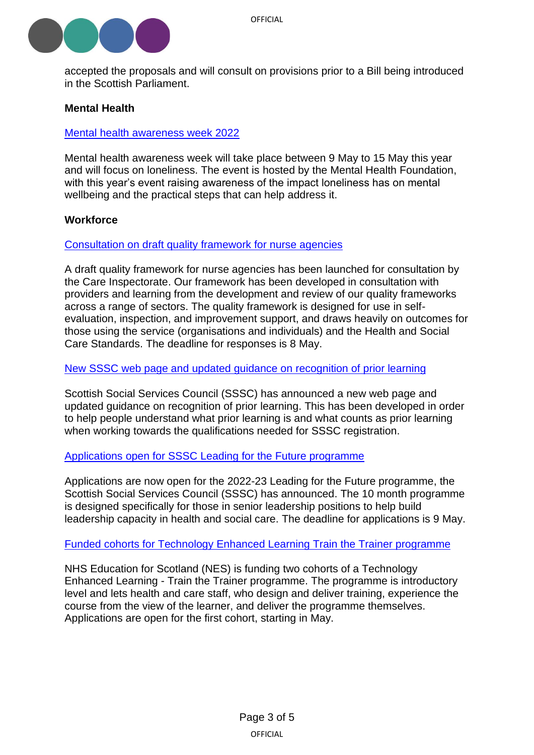

accepted the proposals and will consult on provisions prior to a Bill being introduced in the Scottish Parliament.

### <span id="page-2-0"></span>**Mental Health**

#### [Mental health awareness week 2022](https://www.alliance-scotland.org.uk/blog/events/mental-health-awareness-week-2022/)

Mental health awareness week will take place between 9 May to 15 May this year and will focus on loneliness. The event is hosted by the Mental Health Foundation, with this year's event raising awareness of the impact loneliness has on mental wellbeing and the practical steps that can help address it.

#### <span id="page-2-1"></span>**Workforce**

#### [Consultation on draft quality framework for nurse agencies](https://www.careinspectorate.com/index.php/news/6649-consultation-on-our-draft-quality-framework-for-nurse-agencies)

A draft quality framework for nurse agencies has been launched for consultation by the Care Inspectorate. Our framework has been developed in consultation with providers and learning from the development and review of our quality frameworks across a range of sectors. The quality framework is designed for use in selfevaluation, inspection, and improvement support, and draws heavily on outcomes for those using the service (organisations and individuals) and the Health and Social Care Standards. The deadline for responses is 8 May.

#### [New SSSC web page and updated guidance on](https://news.sssc.uk.com/news/get-credit-for-your-prior-learning) recognition of prior learning

Scottish Social Services Council (SSSC) has announced a new web page and updated guidance on recognition of prior learning. This has been developed in order to help people understand what prior learning is and what counts as prior learning when working towards the qualifications needed for SSSC registration.

#### [Applications open for SSSC Leading for the Future programme](https://news.sssc.uk.com/news/apply-now-for-leading-for-the-future)

Applications are now open for the 2022-23 Leading for the Future programme, the Scottish Social Services Council (SSSC) has announced. The 10 month programme is designed specifically for those in senior leadership positions to help build leadership capacity in health and social care. The deadline for applications is 9 May.

#### Funded cohorts [for Technology Enhanced Learning Train](https://www.nes.scot.nhs.uk/news/technology-enhanced-learning-tel-train-the-trainer-programme/) the Trainer programme

NHS Education for Scotland (NES) is funding two cohorts of a Technology Enhanced Learning - Train the Trainer programme. The programme is introductory level and lets health and care staff, who design and deliver training, experience the course from the view of the learner, and deliver the programme themselves. Applications are open for the first cohort, starting in May.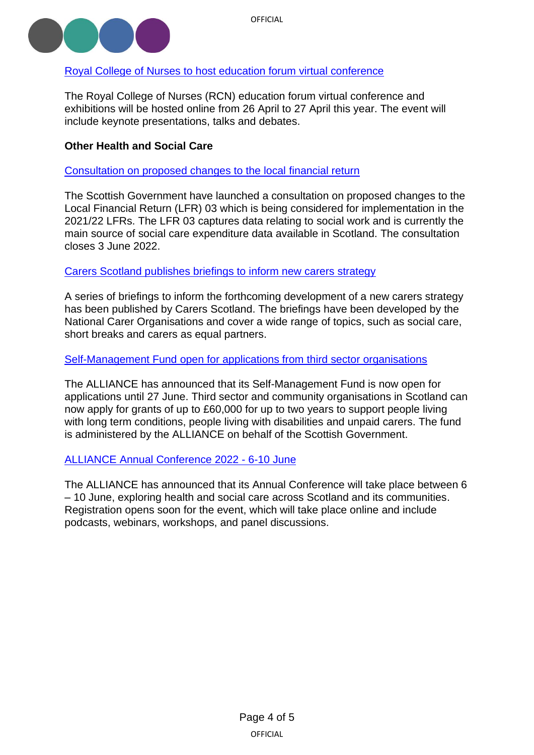

## [Royal College of Nurses to host education forum virtual conference](https://www.rcn.org.uk/news-and-events/events/uk-education-26270422)

The Royal College of Nurses (RCN) education forum virtual conference and exhibitions will be hosted online from 26 April to 27 April this year. The event will include keynote presentations, talks and debates.

## <span id="page-3-0"></span>**Other Health and Social Care**

[Consultation on proposed changes to the local financial return](https://www.gov.scot/publications/local-financial-return-03-social-work-review-consultation/)

The Scottish Government have launched a consultation on proposed changes to the Local Financial Return (LFR) 03 which is being considered for implementation in the 2021/22 LFRs. The LFR 03 captures data relating to social work and is currently the main source of social care expenditure data available in Scotland. The consultation closes 3 June 2022.

### [Carers Scotland publishes briefings to inform new carers strategy](https://www.carersuk.org/scotland/policy/legislation-strategy/carers-strategy)

A series of briefings to inform the forthcoming development of a new carers strategy has been published by Carers Scotland. The briefings have been developed by the National Carer Organisations and cover a wide range of topics, such as social care, short breaks and carers as equal partners.

#### Self-Management Fund [open for applications from](https://www.alliance-scotland.org.uk/self-management-and-co-production-hub/self-management-fund/) third sector organisations

The ALLIANCE has announced that its Self-Management Fund is now open for applications until 27 June. Third sector and community organisations in Scotland can now apply for grants of up to £60,000 for up to two years to support people living with long term conditions, people living with disabilities and unpaid carers. The fund is administered by the ALLIANCE on behalf of the Scottish Government.

### [ALLIANCE Annual Conference](https://www.alliance-scotland.org.uk/blog/news/save-the-date-alliance-2022-annual-conference/) 2022 - 6-10 June

The ALLIANCE has announced that its Annual Conference will take place between 6 – 10 June, exploring health and social care across Scotland and its communities. Registration opens soon for the event, which will take place online and include podcasts, webinars, workshops, and panel discussions.